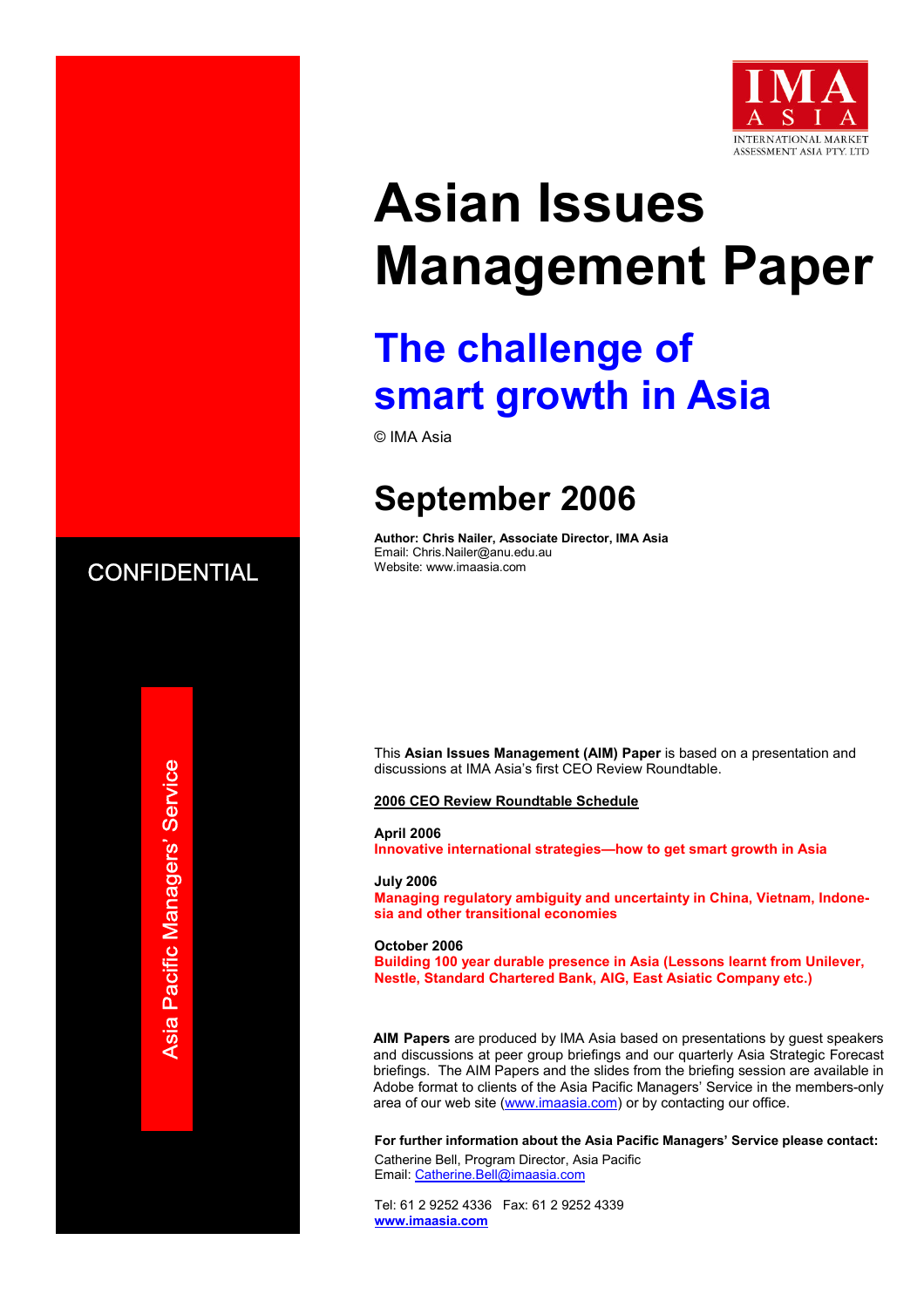

# **Asian Issues Management Paper**

## **The challenge of smart growth in Asia**

© IMA Asia

## **September 2006**

**Author: Chris Nailer, Associate Director, IMA Asia**  Email: Chris.Nailer@anu.edu.au Website: www.imaasia.com

This **Asian Issues Management (AIM) Paper** is based on a presentation and discussions at IMA Asia's first CEO Review Roundtable.

**2006 CEO Review Roundtable Schedule**

**April 2006 Innovative international strategies—how to get smart growth in Asia** 

**July 2006 Managing regulatory ambiguity and uncertainty in China, Vietnam, Indonesia and other transitional economies**

**October 2006 Building 100 year durable presence in Asia (Lessons learnt from Unilever, Nestle, Standard Chartered Bank, AIG, East Asiatic Company etc.)** 

**AIM Papers** are produced by IMA Asia based on presentations by guest speakers and discussions at peer group briefings and our quarterly Asia Strategic Forecast briefings. The AIM Papers and the slides from the briefing session are available in Adobe format to clients of the Asia Pacific Managers' Service in the members-only area of our web site (www.imaasia.com) or by contacting our office.

**For further information about the Asia Pacific Managers' Service please contact:** Catherine Bell, Program Director, Asia Pacific Email: Catherine.Bell@imaasia.com

Tel: 61 2 9252 4336 Fax: 61 2 9252 4339 **www.imaasia.com** 



Asia Pacific Managers' Service **Asia Pacific Managers' Service**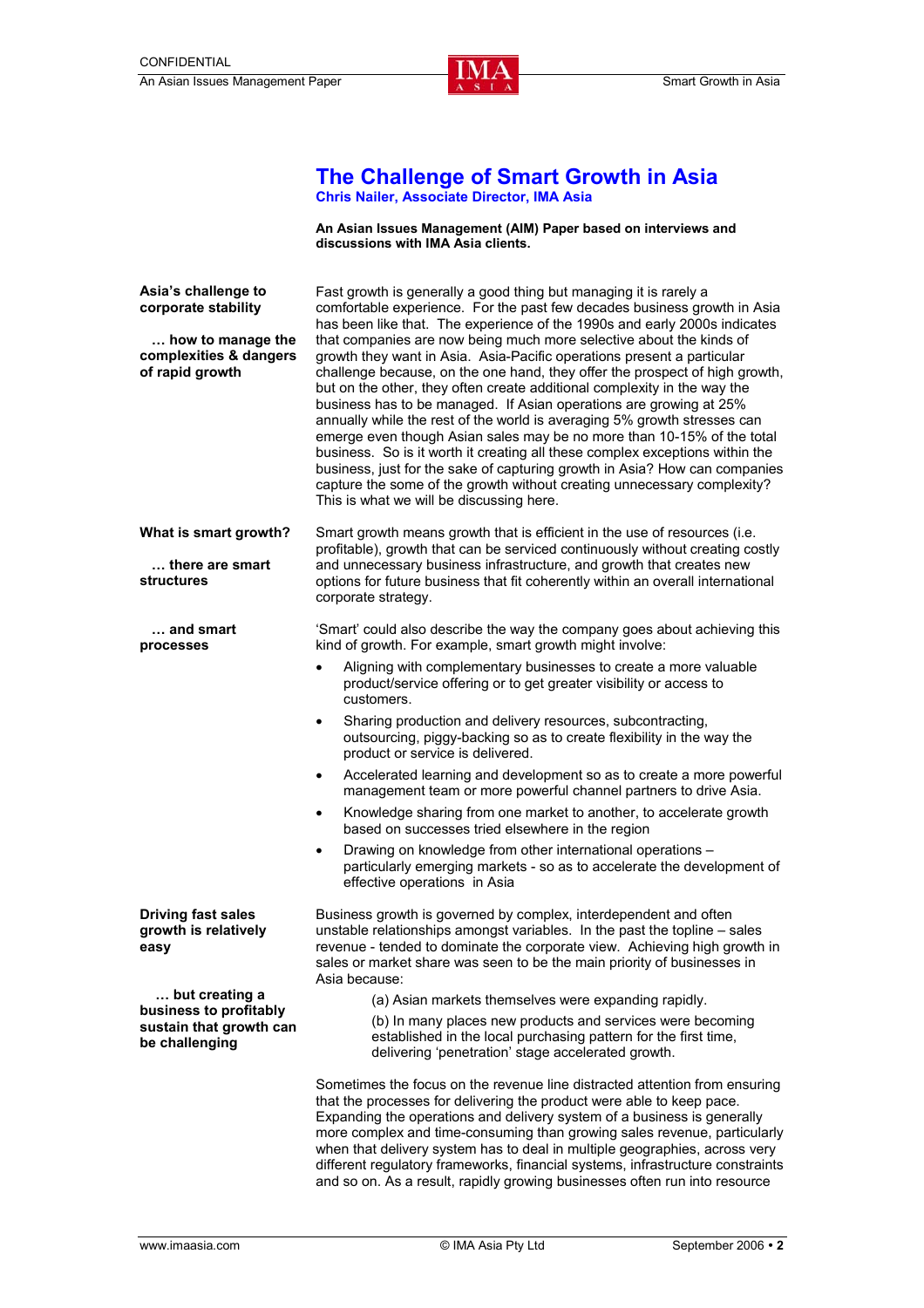

#### **The Challenge of Smart Growth in Asia Chris Nailer, Associate Director, IMA Asia**

**An Asian Issues Management (AIM) Paper based on interviews and discussions with IMA Asia clients.** 

**Asia's challenge to corporate stability … how to manage the complexities & dangers of rapid growth**  Fast growth is generally a good thing but managing it is rarely a comfortable experience. For the past few decades business growth in Asia has been like that. The experience of the 1990s and early 2000s indicates that companies are now being much more selective about the kinds of growth they want in Asia. Asia-Pacific operations present a particular challenge because, on the one hand, they offer the prospect of high growth, but on the other, they often create additional complexity in the way the business has to be managed. If Asian operations are growing at 25% annually while the rest of the world is averaging 5% growth stresses can emerge even though Asian sales may be no more than 10-15% of the total business. So is it worth it creating all these complex exceptions within the business, just for the sake of capturing growth in Asia? How can companies capture the some of the growth without creating unnecessary complexity? This is what we will be discussing here. **What is smart growth? … there are smart structures … and smart processes**  Smart growth means growth that is efficient in the use of resources (i.e. profitable), growth that can be serviced continuously without creating costly and unnecessary business infrastructure, and growth that creates new options for future business that fit coherently within an overall international corporate strategy. 'Smart' could also describe the way the company goes about achieving this kind of growth. For example, smart growth might involve: • Aligning with complementary businesses to create a more valuable product/service offering or to get greater visibility or access to customers. • Sharing production and delivery resources, subcontracting, outsourcing, piggy-backing so as to create flexibility in the way the product or service is delivered. • Accelerated learning and development so as to create a more powerful management team or more powerful channel partners to drive Asia. • Knowledge sharing from one market to another, to accelerate growth based on successes tried elsewhere in the region • Drawing on knowledge from other international operations – particularly emerging markets - so as to accelerate the development of effective operations in Asia **Driving fast sales growth is relatively easy … but creating a business to profitably sustain that growth can be challenging** Business growth is governed by complex, interdependent and often unstable relationships amongst variables. In the past the topline – sales revenue - tended to dominate the corporate view. Achieving high growth in sales or market share was seen to be the main priority of businesses in Asia because: (a) Asian markets themselves were expanding rapidly. (b) In many places new products and services were becoming established in the local purchasing pattern for the first time, delivering 'penetration' stage accelerated growth. Sometimes the focus on the revenue line distracted attention from ensuring that the processes for delivering the product were able to keep pace. Expanding the operations and delivery system of a business is generally more complex and time-consuming than growing sales revenue, particularly when that delivery system has to deal in multiple geographies, across very different regulatory frameworks, financial systems, infrastructure constraints and so on. As a result, rapidly growing businesses often run into resource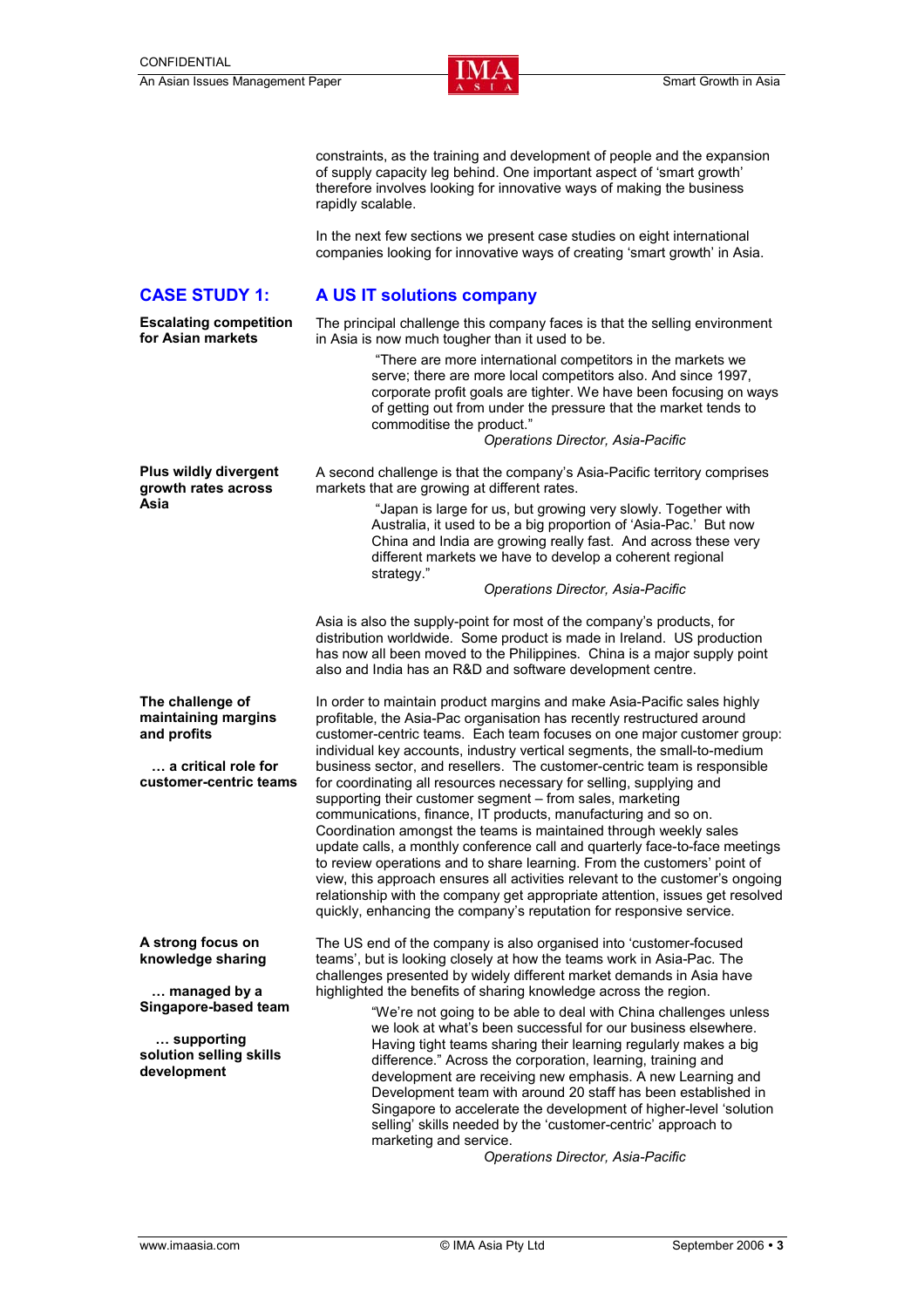

constraints, as the training and development of people and the expansion of supply capacity leg behind. One important aspect of 'smart growth' therefore involves looking for innovative ways of making the business rapidly scalable.

 In the next few sections we present case studies on eight international companies looking for innovative ways of creating 'smart growth' in Asia.

#### **CASE STUDY 1: A US IT solutions company**

The principal challenge this company faces is that the selling environment in Asia is now much tougher than it used to be.

 "There are more international competitors in the markets we serve; there are more local competitors also. And since 1997, corporate profit goals are tighter. We have been focusing on ways of getting out from under the pressure that the market tends to commoditise the product."

#### *Operations Director, Asia-Pacific*

A second challenge is that the company's Asia-Pacific territory comprises markets that are growing at different rates.

> "Japan is large for us, but growing very slowly. Together with Australia, it used to be a big proportion of 'Asia-Pac.' But now China and India are growing really fast. And across these very different markets we have to develop a coherent regional strategy."

#### *Operations Director, Asia-Pacific*

Asia is also the supply-point for most of the company's products, for distribution worldwide. Some product is made in Ireland. US production has now all been moved to the Philippines. China is a major supply point also and India has an R&D and software development centre.

**The challenge of maintaining margins … a critical role for customer-centric teams**  In order to maintain product margins and make Asia-Pacific sales highly profitable, the Asia-Pac organisation has recently restructured around customer-centric teams. Each team focuses on one major customer group: individual key accounts, industry vertical segments, the small-to-medium business sector, and resellers. The customer-centric team is responsible for coordinating all resources necessary for selling, supplying and supporting their customer segment – from sales, marketing communications, finance, IT products, manufacturing and so on. Coordination amongst the teams is maintained through weekly sales update calls, a monthly conference call and quarterly face-to-face meetings to review operations and to share learning. From the customers' point of view, this approach ensures all activities relevant to the customer's ongoing relationship with the company get appropriate attention, issues get resolved quickly, enhancing the company's reputation for responsive service.

> The US end of the company is also organised into 'customer-focused teams', but is looking closely at how the teams work in Asia-Pac. The challenges presented by widely different market demands in Asia have highlighted the benefits of sharing knowledge across the region.

> > "We're not going to be able to deal with China challenges unless we look at what's been successful for our business elsewhere. Having tight teams sharing their learning regularly makes a big difference." Across the corporation, learning, training and development are receiving new emphasis. A new Learning and Development team with around 20 staff has been established in Singapore to accelerate the development of higher-level 'solution selling' skills needed by the 'customer-centric' approach to marketing and service.

*Operations Director, Asia-Pacific* 

**Plus wildly divergent growth rates across Asia** 

**and profits** 

**A strong focus on knowledge sharing** 

 **… managed by a Singapore-based team** 

 **… supporting solution selling skills** 

**development** 

**Escalating competition for Asian markets**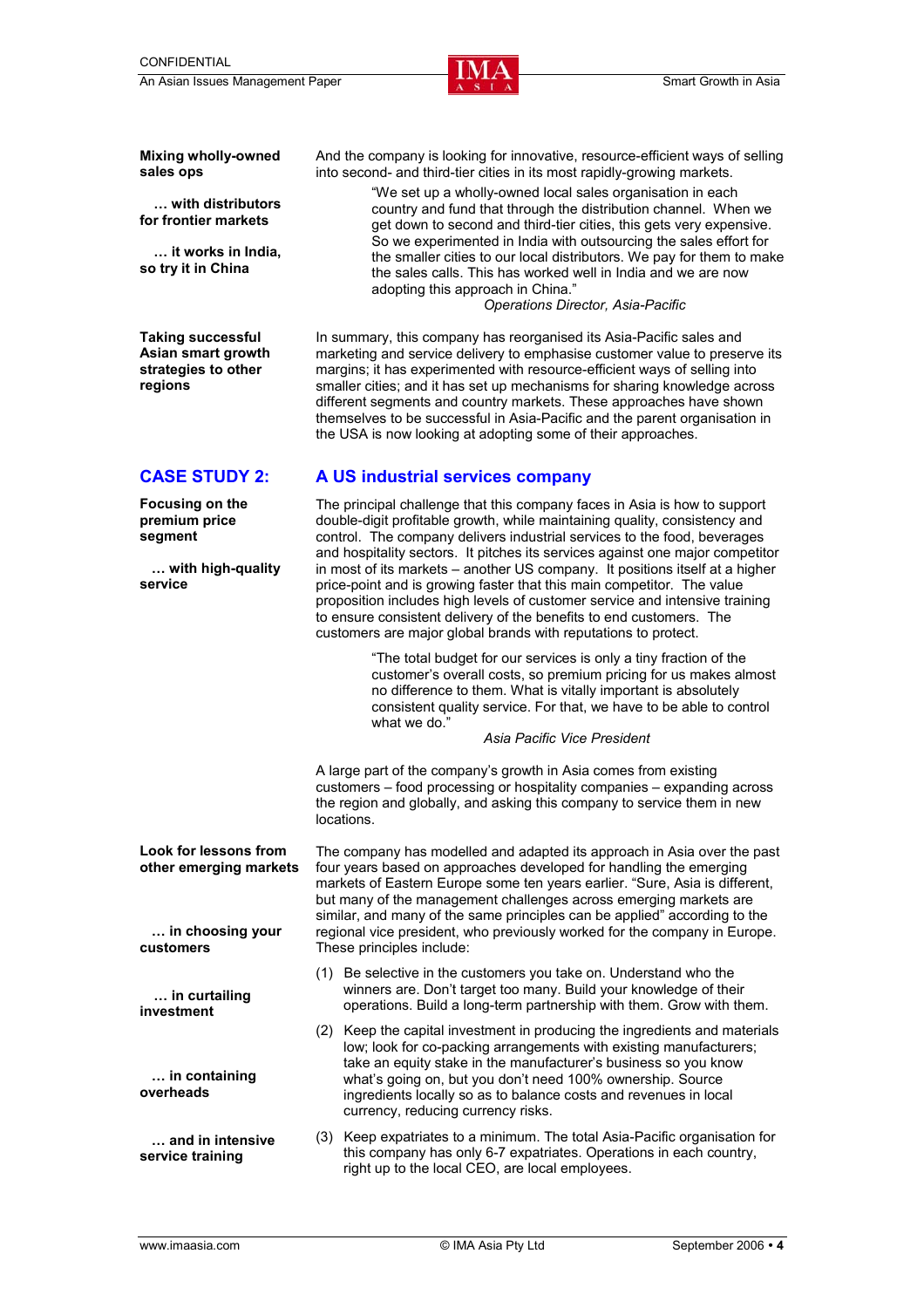

**Mixing wholly-owned sales ops** 

**… with distributors for frontier markets** 

**… it works in India, so try it in China** 

**Taking successful Asian smart growth strategies to other regions** 

And the company is looking for innovative, resource-efficient ways of selling into second- and third-tier cities in its most rapidly-growing markets.

> "We set up a wholly-owned local sales organisation in each country and fund that through the distribution channel. When we get down to second and third-tier cities, this gets very expensive. So we experimented in India with outsourcing the sales effort for the smaller cities to our local distributors. We pay for them to make the sales calls. This has worked well in India and we are now adopting this approach in China."

*Operations Director, Asia-Pacific* 

In summary, this company has reorganised its Asia-Pacific sales and marketing and service delivery to emphasise customer value to preserve its margins; it has experimented with resource-efficient ways of selling into smaller cities; and it has set up mechanisms for sharing knowledge across different segments and country markets. These approaches have shown themselves to be successful in Asia-Pacific and the parent organisation in the USA is now looking at adopting some of their approaches.

**Focusing on the premium price segment** 

 **… with high-quality service** 

#### **CASE STUDY 2: A US industrial services company**

The principal challenge that this company faces in Asia is how to support double-digit profitable growth, while maintaining quality, consistency and control. The company delivers industrial services to the food, beverages and hospitality sectors. It pitches its services against one major competitor in most of its markets – another US company. It positions itself at a higher price-point and is growing faster that this main competitor. The value proposition includes high levels of customer service and intensive training to ensure consistent delivery of the benefits to end customers. The customers are major global brands with reputations to protect.

> "The total budget for our services is only a tiny fraction of the customer's overall costs, so premium pricing for us makes almost no difference to them. What is vitally important is absolutely consistent quality service. For that, we have to be able to control what we do."

#### *Asia Pacific Vice President*

A large part of the company's growth in Asia comes from existing customers – food processing or hospitality companies – expanding across the region and globally, and asking this company to service them in new locations.

**Look for lessons from other emerging markets … in choosing your**  The company has modelled and adapted its approach in Asia over the past four years based on approaches developed for handling the emerging markets of Eastern Europe some ten years earlier. "Sure, Asia is different, but many of the management challenges across emerging markets are similar, and many of the same principles can be applied" according to the regional vice president, who previously worked for the company in Europe. These principles include:

- (1) Be selective in the customers you take on. Understand who the winners are. Don't target too many. Build your knowledge of their operations. Build a long-term partnership with them. Grow with them.
- (2) Keep the capital investment in producing the ingredients and materials low; look for co-packing arrangements with existing manufacturers; take an equity stake in the manufacturer's business so you know what's going on, but you don't need 100% ownership. Source ingredients locally so as to balance costs and revenues in local currency, reducing currency risks.
- (3) Keep expatriates to a minimum. The total Asia-Pacific organisation for this company has only 6-7 expatriates. Operations in each country, right up to the local CEO, are local employees.

**customers** 

**overheads** 

**… in curtailing investment** 

 **… in containing** 

 **… and in intensive service training**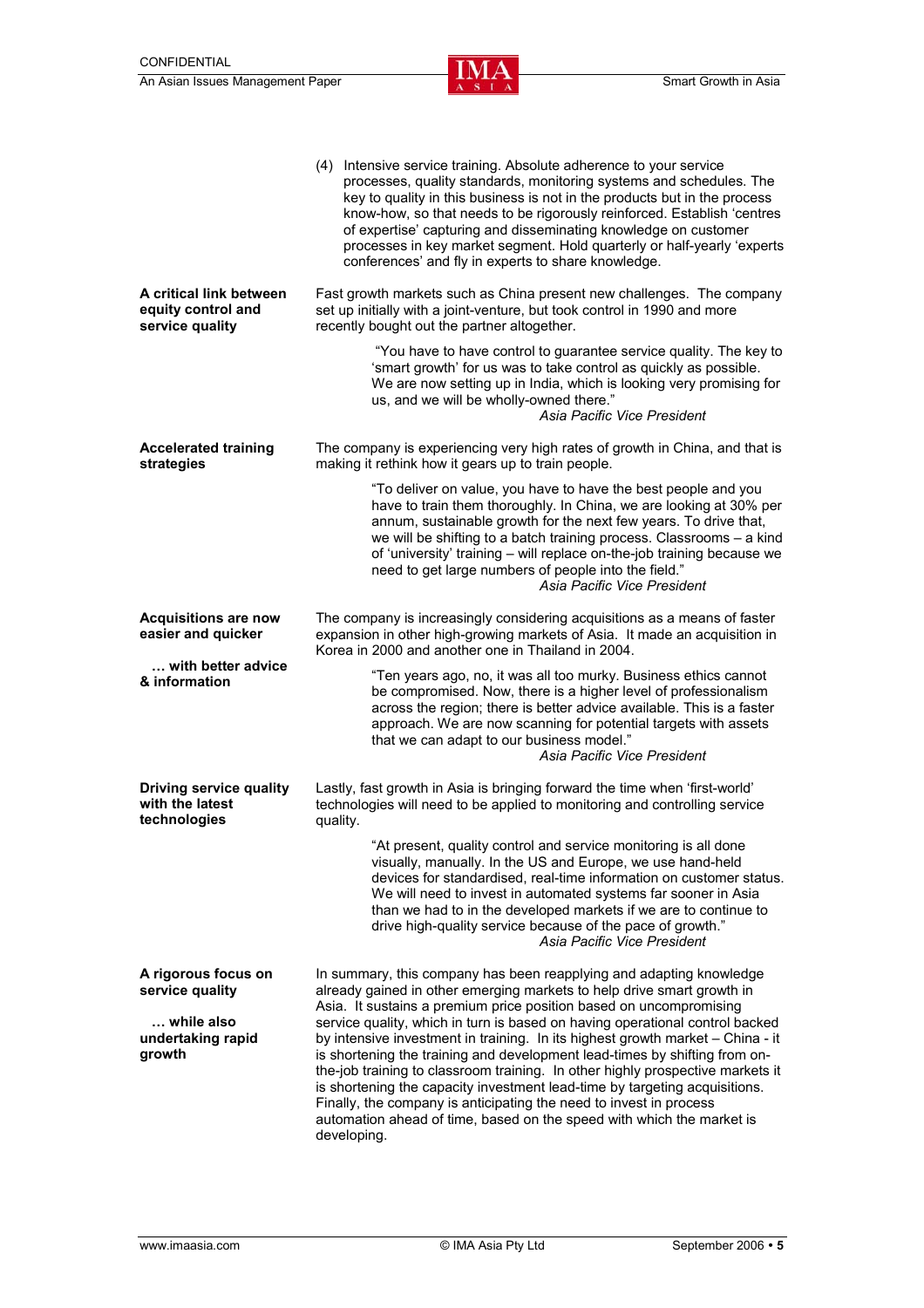|                                                                                     | (4) Intensive service training. Absolute adherence to your service<br>processes, quality standards, monitoring systems and schedules. The<br>key to quality in this business is not in the products but in the process<br>know-how, so that needs to be rigorously reinforced. Establish 'centres<br>of expertise' capturing and disseminating knowledge on customer<br>processes in key market segment. Hold quarterly or half-yearly 'experts<br>conferences' and fly in experts to share knowledge.                                                                                                                                                                                                                                                                                            |  |
|-------------------------------------------------------------------------------------|---------------------------------------------------------------------------------------------------------------------------------------------------------------------------------------------------------------------------------------------------------------------------------------------------------------------------------------------------------------------------------------------------------------------------------------------------------------------------------------------------------------------------------------------------------------------------------------------------------------------------------------------------------------------------------------------------------------------------------------------------------------------------------------------------|--|
| A critical link between<br>equity control and<br>service quality                    | Fast growth markets such as China present new challenges. The company<br>set up initially with a joint-venture, but took control in 1990 and more<br>recently bought out the partner altogether.                                                                                                                                                                                                                                                                                                                                                                                                                                                                                                                                                                                                  |  |
|                                                                                     | "You have to have control to guarantee service quality. The key to<br>'smart growth' for us was to take control as quickly as possible.<br>We are now setting up in India, which is looking very promising for<br>us, and we will be wholly-owned there."<br>Asia Pacific Vice President                                                                                                                                                                                                                                                                                                                                                                                                                                                                                                          |  |
| <b>Accelerated training</b><br>strategies                                           | The company is experiencing very high rates of growth in China, and that is<br>making it rethink how it gears up to train people.                                                                                                                                                                                                                                                                                                                                                                                                                                                                                                                                                                                                                                                                 |  |
|                                                                                     | "To deliver on value, you have to have the best people and you<br>have to train them thoroughly. In China, we are looking at 30% per<br>annum, sustainable growth for the next few years. To drive that,<br>we will be shifting to a batch training process. Classrooms - a kind<br>of 'university' training - will replace on-the-job training because we<br>need to get large numbers of people into the field."<br>Asia Pacific Vice President                                                                                                                                                                                                                                                                                                                                                 |  |
| <b>Acquisitions are now</b><br>easier and quicker                                   | The company is increasingly considering acquisitions as a means of faster<br>expansion in other high-growing markets of Asia. It made an acquisition in<br>Korea in 2000 and another one in Thailand in 2004.                                                                                                                                                                                                                                                                                                                                                                                                                                                                                                                                                                                     |  |
| with better advice<br>& information                                                 | "Ten years ago, no, it was all too murky. Business ethics cannot<br>be compromised. Now, there is a higher level of professionalism<br>across the region; there is better advice available. This is a faster<br>approach. We are now scanning for potential targets with assets<br>that we can adapt to our business model."<br>Asia Pacific Vice President                                                                                                                                                                                                                                                                                                                                                                                                                                       |  |
| <b>Driving service quality</b><br>with the latest<br>technologies                   | Lastly, fast growth in Asia is bringing forward the time when 'first-world'<br>technologies will need to be applied to monitoring and controlling service<br>quality.                                                                                                                                                                                                                                                                                                                                                                                                                                                                                                                                                                                                                             |  |
|                                                                                     | "At present, quality control and service monitoring is all done<br>visually, manually. In the US and Europe, we use hand-held<br>devices for standardised, real-time information on customer status.<br>We will need to invest in automated systems far sooner in Asia<br>than we had to in the developed markets if we are to continue to<br>drive high-quality service because of the pace of growth."<br>Asia Pacific Vice President                                                                                                                                                                                                                                                                                                                                                           |  |
| A rigorous focus on<br>service quality<br>while also<br>undertaking rapid<br>growth | In summary, this company has been reapplying and adapting knowledge<br>already gained in other emerging markets to help drive smart growth in<br>Asia. It sustains a premium price position based on uncompromising<br>service quality, which in turn is based on having operational control backed<br>by intensive investment in training. In its highest growth market - China - it<br>is shortening the training and development lead-times by shifting from on-<br>the-job training to classroom training. In other highly prospective markets it<br>is shortening the capacity investment lead-time by targeting acquisitions.<br>Finally, the company is anticipating the need to invest in process<br>automation ahead of time, based on the speed with which the market is<br>developing. |  |

ı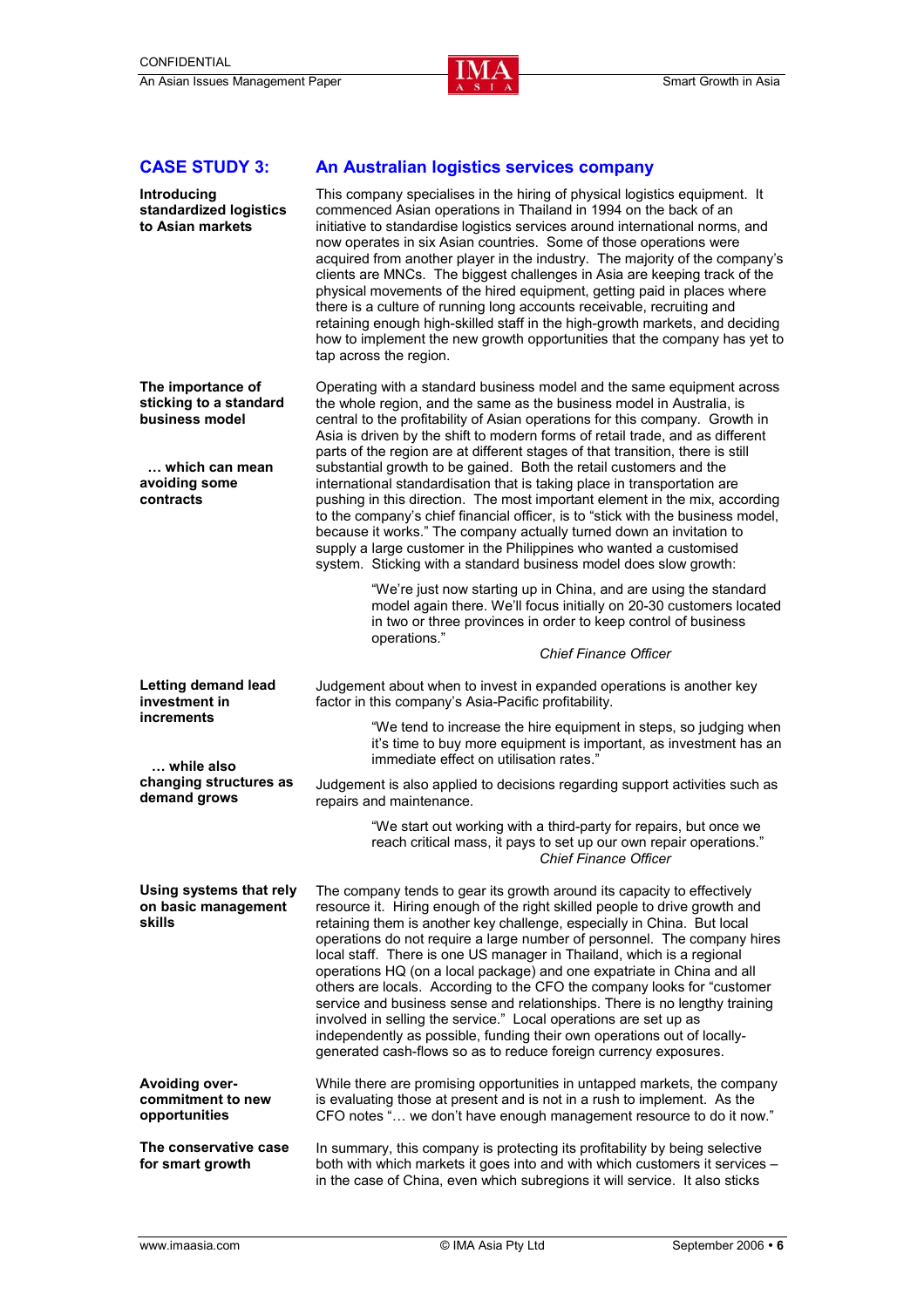

### **CASE STUDY 3:**

| Introducing<br>standardized logistics<br>to Asian markets                                                     | This company specialises in the hiring of physical logistics equipment. It<br>commenced Asian operations in Thailand in 1994 on the back of an<br>initiative to standardise logistics services around international norms, and<br>now operates in six Asian countries. Some of those operations were<br>acquired from another player in the industry. The majority of the company's<br>clients are MNCs. The biggest challenges in Asia are keeping track of the<br>physical movements of the hired equipment, getting paid in places where<br>there is a culture of running long accounts receivable, recruiting and<br>retaining enough high-skilled staff in the high-growth markets, and deciding<br>how to implement the new growth opportunities that the company has yet to<br>tap across the region.                                                                                                                                                                                                  |
|---------------------------------------------------------------------------------------------------------------|---------------------------------------------------------------------------------------------------------------------------------------------------------------------------------------------------------------------------------------------------------------------------------------------------------------------------------------------------------------------------------------------------------------------------------------------------------------------------------------------------------------------------------------------------------------------------------------------------------------------------------------------------------------------------------------------------------------------------------------------------------------------------------------------------------------------------------------------------------------------------------------------------------------------------------------------------------------------------------------------------------------|
| The importance of<br>sticking to a standard<br>business model<br>which can mean<br>avoiding some<br>contracts | Operating with a standard business model and the same equipment across<br>the whole region, and the same as the business model in Australia, is<br>central to the profitability of Asian operations for this company. Growth in<br>Asia is driven by the shift to modern forms of retail trade, and as different<br>parts of the region are at different stages of that transition, there is still<br>substantial growth to be gained. Both the retail customers and the<br>international standardisation that is taking place in transportation are<br>pushing in this direction. The most important element in the mix, according<br>to the company's chief financial officer, is to "stick with the business model,<br>because it works." The company actually turned down an invitation to<br>supply a large customer in the Philippines who wanted a customised<br>system. Sticking with a standard business model does slow growth:<br>"We're just now starting up in China, and are using the standard |
|                                                                                                               | model again there. We'll focus initially on 20-30 customers located<br>in two or three provinces in order to keep control of business<br>operations."<br><b>Chief Finance Officer</b>                                                                                                                                                                                                                                                                                                                                                                                                                                                                                                                                                                                                                                                                                                                                                                                                                         |
| <b>Letting demand lead</b><br>investment in                                                                   | Judgement about when to invest in expanded operations is another key<br>factor in this company's Asia-Pacific profitability.                                                                                                                                                                                                                                                                                                                                                                                                                                                                                                                                                                                                                                                                                                                                                                                                                                                                                  |
| <b>increments</b><br>while also                                                                               | "We tend to increase the hire equipment in steps, so judging when<br>it's time to buy more equipment is important, as investment has an<br>immediate effect on utilisation rates."                                                                                                                                                                                                                                                                                                                                                                                                                                                                                                                                                                                                                                                                                                                                                                                                                            |
| changing structures as<br>demand grows                                                                        | Judgement is also applied to decisions regarding support activities such as<br>repairs and maintenance.                                                                                                                                                                                                                                                                                                                                                                                                                                                                                                                                                                                                                                                                                                                                                                                                                                                                                                       |
|                                                                                                               | "We start out working with a third-party for repairs, but once we<br>reach critical mass, it pays to set up our own repair operations."<br><b>Chief Finance Officer</b>                                                                                                                                                                                                                                                                                                                                                                                                                                                                                                                                                                                                                                                                                                                                                                                                                                       |
| Using systems that rely<br>on basic management<br>skills                                                      | The company tends to gear its growth around its capacity to effectively<br>resource it. Hiring enough of the right skilled people to drive growth and<br>retaining them is another key challenge, especially in China. But local<br>operations do not require a large number of personnel. The company hires<br>local staff. There is one US manager in Thailand, which is a regional<br>operations HQ (on a local package) and one expatriate in China and all<br>others are locals. According to the CFO the company looks for "customer<br>service and business sense and relationships. There is no lengthy training<br>involved in selling the service." Local operations are set up as<br>independently as possible, funding their own operations out of locally-<br>generated cash-flows so as to reduce foreign currency exposures.                                                                                                                                                                   |
| Avoiding over-<br>commitment to new<br>opportunities                                                          | While there are promising opportunities in untapped markets, the company<br>is evaluating those at present and is not in a rush to implement. As the<br>CFO notes " we don't have enough management resource to do it now."                                                                                                                                                                                                                                                                                                                                                                                                                                                                                                                                                                                                                                                                                                                                                                                   |
| The conservative case<br>for smart growth                                                                     | In summary, this company is protecting its profitability by being selective<br>both with which markets it goes into and with which customers it services -<br>in the case of China, even which subregions it will service. It also sticks                                                                                                                                                                                                                                                                                                                                                                                                                                                                                                                                                                                                                                                                                                                                                                     |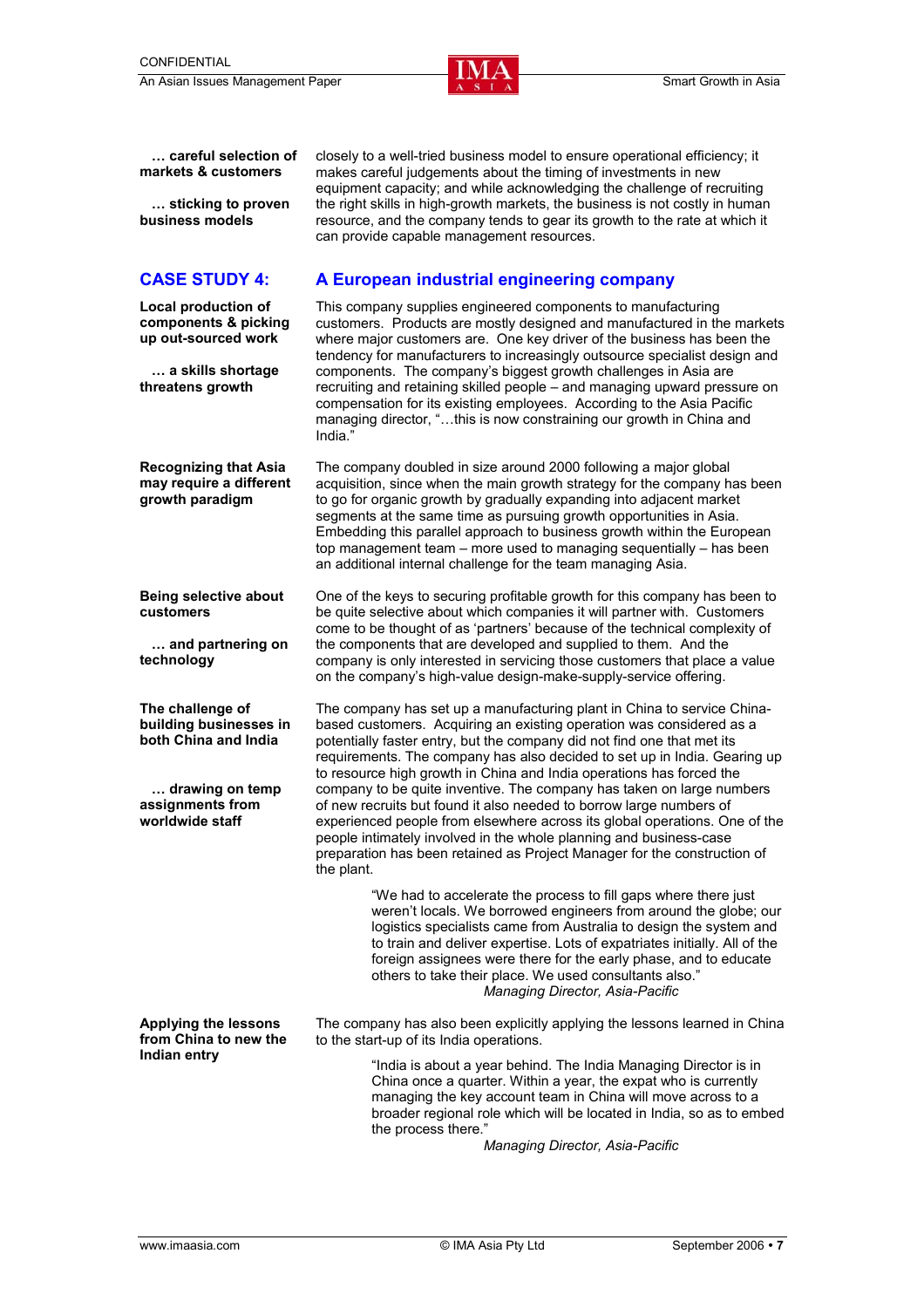

 **… careful selection of markets & customers** 

 **… sticking to proven business models** 

**Local production of components & picking up out-sourced work** 

 **… a skills shortage threatens growth** 

**Recognizing that Asia may require a different growth paradigm** 

**Being selective about customers** 

 **… and partnering on technology** 

**The challenge of building businesses in both China and India** 

 **… drawing on temp assignments from worldwide staff** 

**Applying the lessons from China to new the Indian entry** 

closely to a well-tried business model to ensure operational efficiency; it makes careful judgements about the timing of investments in new equipment capacity; and while acknowledging the challenge of recruiting the right skills in high-growth markets, the business is not costly in human resource, and the company tends to gear its growth to the rate at which it can provide capable management resources.

#### **CASE STUDY 4: A European industrial engineering company**

This company supplies engineered components to manufacturing customers. Products are mostly designed and manufactured in the markets where major customers are. One key driver of the business has been the tendency for manufacturers to increasingly outsource specialist design and components. The company's biggest growth challenges in Asia are recruiting and retaining skilled people – and managing upward pressure on compensation for its existing employees. According to the Asia Pacific managing director, "…this is now constraining our growth in China and India."

The company doubled in size around 2000 following a major global acquisition, since when the main growth strategy for the company has been to go for organic growth by gradually expanding into adjacent market segments at the same time as pursuing growth opportunities in Asia. Embedding this parallel approach to business growth within the European top management team – more used to managing sequentially – has been an additional internal challenge for the team managing Asia.

One of the keys to securing profitable growth for this company has been to be quite selective about which companies it will partner with. Customers come to be thought of as 'partners' because of the technical complexity of the components that are developed and supplied to them. And the company is only interested in servicing those customers that place a value on the company's high-value design-make-supply-service offering.

The company has set up a manufacturing plant in China to service Chinabased customers. Acquiring an existing operation was considered as a potentially faster entry, but the company did not find one that met its requirements. The company has also decided to set up in India. Gearing up to resource high growth in China and India operations has forced the company to be quite inventive. The company has taken on large numbers of new recruits but found it also needed to borrow large numbers of experienced people from elsewhere across its global operations. One of the people intimately involved in the whole planning and business-case preparation has been retained as Project Manager for the construction of the plant.

> "We had to accelerate the process to fill gaps where there just weren't locals. We borrowed engineers from around the globe; our logistics specialists came from Australia to design the system and to train and deliver expertise. Lots of expatriates initially. All of the foreign assignees were there for the early phase, and to educate others to take their place. We used consultants also." *Managing Director, Asia-Pacific*

The company has also been explicitly applying the lessons learned in China to the start-up of its India operations.

> "India is about a year behind. The India Managing Director is in China once a quarter. Within a year, the expat who is currently managing the key account team in China will move across to a broader regional role which will be located in India, so as to embed the process there."

> > *Managing Director, Asia-Pacific*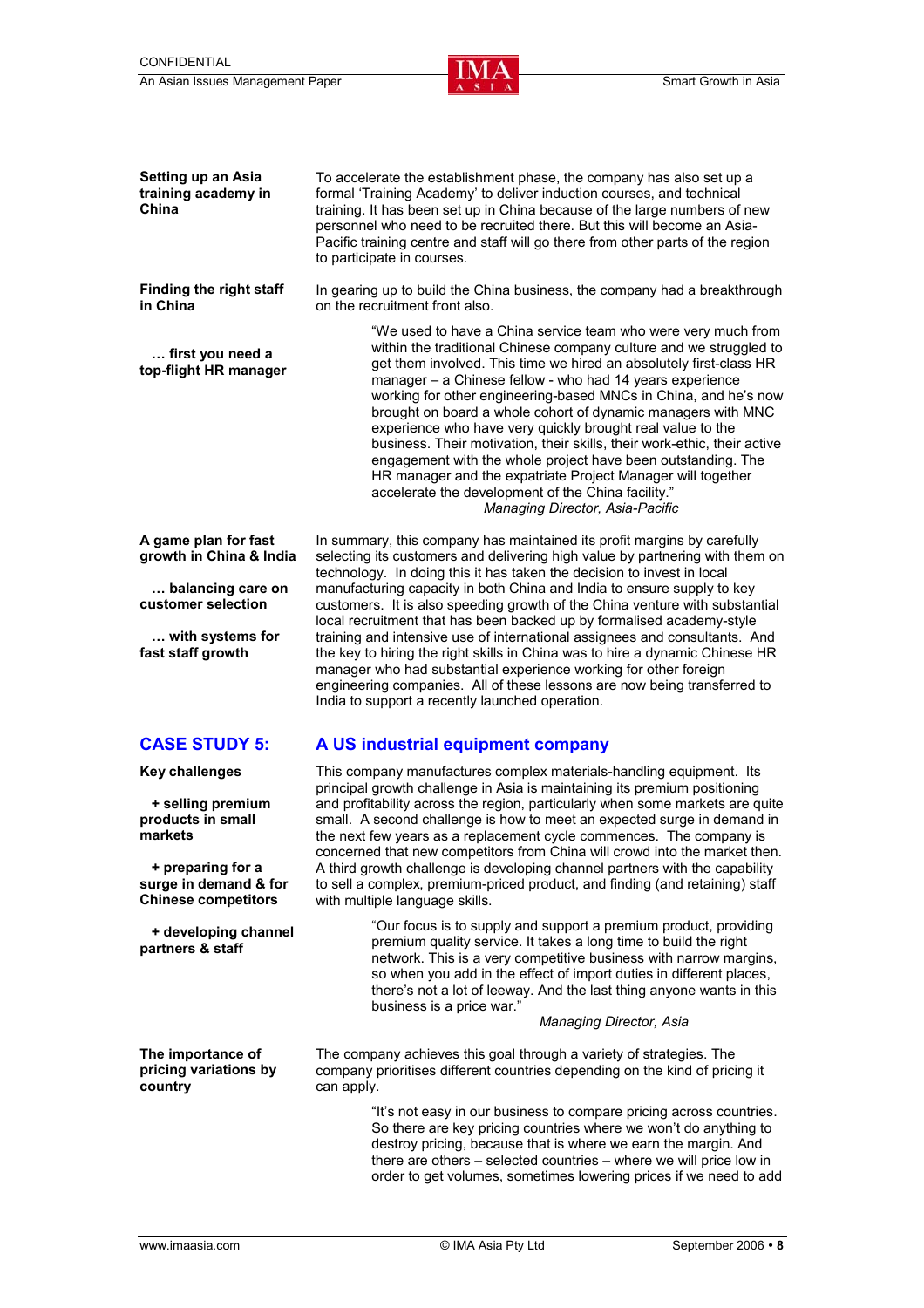

**Setting up an Asia training academy in China**  To accelerate the establishment phase, the company has also set up a formal 'Training Academy' to deliver induction courses, and technical training. It has been set up in China because of the large numbers of new personnel who need to be recruited there. But this will become an Asia-Pacific training centre and staff will go there from other parts of the region to participate in courses. **Finding the right staff in China … first you need a top-flight HR manager**  In gearing up to build the China business, the company had a breakthrough on the recruitment front also. "We used to have a China service team who were very much from within the traditional Chinese company culture and we struggled to get them involved. This time we hired an absolutely first-class HR manager – a Chinese fellow - who had 14 years experience working for other engineering-based MNCs in China, and he's now brought on board a whole cohort of dynamic managers with MNC experience who have very quickly brought real value to the business. Their motivation, their skills, their work-ethic, their active engagement with the whole project have been outstanding. The HR manager and the expatriate Project Manager will together accelerate the development of the China facility." *Managing Director, Asia-Pacific*  **A game plan for fast growth in China & India … balancing care on customer selection … with systems for fast staff growth**  In summary, this company has maintained its profit margins by carefully selecting its customers and delivering high value by partnering with them on technology. In doing this it has taken the decision to invest in local manufacturing capacity in both China and India to ensure supply to key customers. It is also speeding growth of the China venture with substantial local recruitment that has been backed up by formalised academy-style training and intensive use of international assignees and consultants. And the key to hiring the right skills in China was to hire a dynamic Chinese HR manager who had substantial experience working for other foreign engineering companies. All of these lessons are now being transferred to India to support a recently launched operation. **CASE STUDY 5: A US industrial equipment company**  This company manufactures complex materials-handling equipment. Its

> principal growth challenge in Asia is maintaining its premium positioning and profitability across the region, particularly when some markets are quite small. A second challenge is how to meet an expected surge in demand in the next few years as a replacement cycle commences. The company is

concerned that new competitors from China will crowd into the market then. A third growth challenge is developing channel partners with the capability to sell a complex, premium-priced product, and finding (and retaining) staff with multiple language skills. "Our focus is to supply and support a premium product, providing

premium quality service. It takes a long time to build the right network. This is a very competitive business with narrow margins, so when you add in the effect of import duties in different places, there's not a lot of leeway. And the last thing anyone wants in this business is a price war."

*Managing Director, Asia* 

The company achieves this goal through a variety of strategies. The company prioritises different countries depending on the kind of pricing it can apply.

> "It's not easy in our business to compare pricing across countries. So there are key pricing countries where we won't do anything to destroy pricing, because that is where we earn the margin. And there are others – selected countries – where we will price low in order to get volumes, sometimes lowering prices if we need to add

**Key challenges** 

 **+ selling premium products in small markets** 

 **+ preparing for a surge in demand & for Chinese competitors** 

 **+ developing channel partners & staff** 

**The importance of pricing variations by country**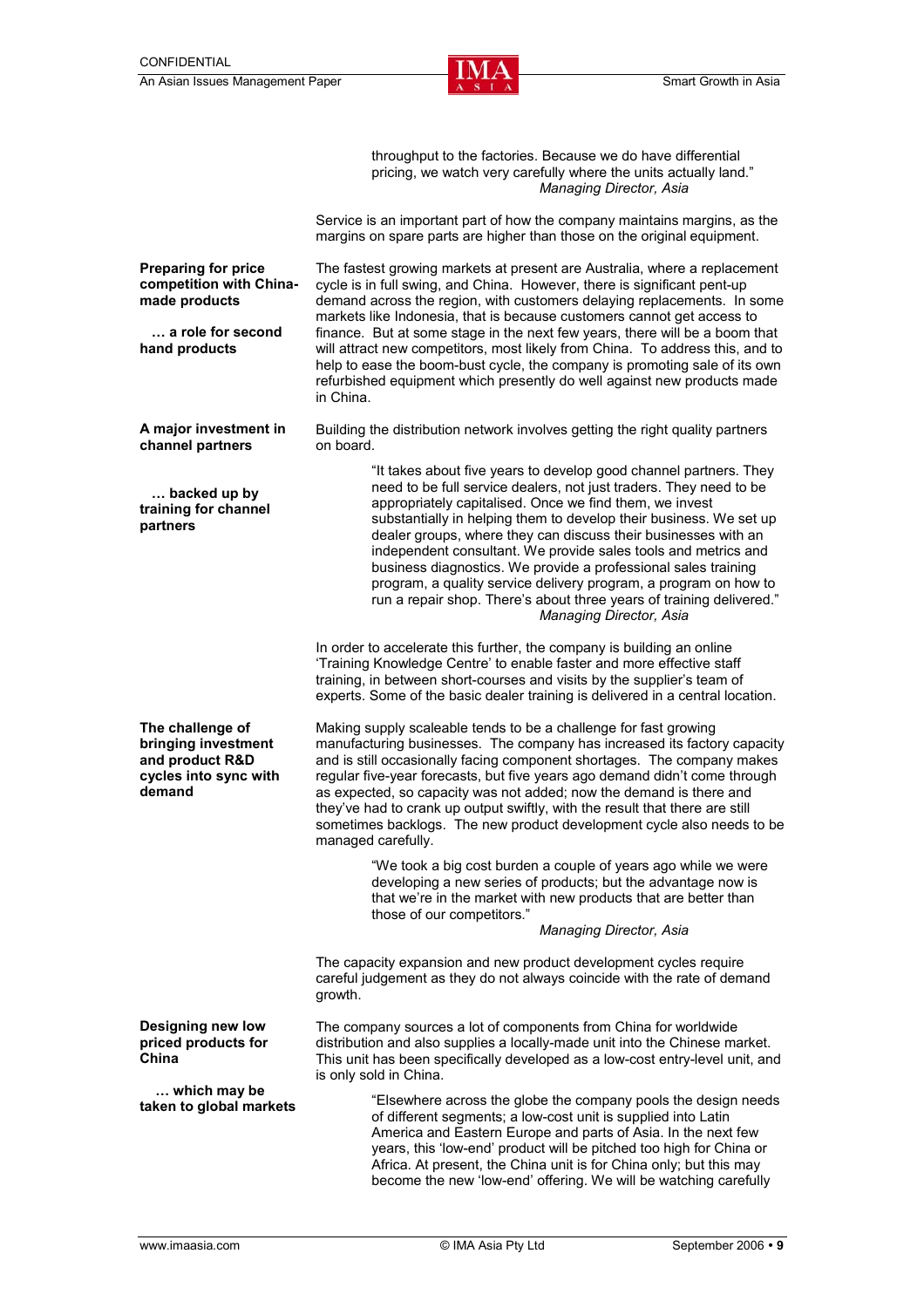

|                                                                                               | throughput to the factories. Because we do have differential<br>pricing, we watch very carefully where the units actually land."<br>Managing Director, Asia                                                                                                                                                                                                                                                                                                                                                                                                                                                                                                  |  |  |
|-----------------------------------------------------------------------------------------------|--------------------------------------------------------------------------------------------------------------------------------------------------------------------------------------------------------------------------------------------------------------------------------------------------------------------------------------------------------------------------------------------------------------------------------------------------------------------------------------------------------------------------------------------------------------------------------------------------------------------------------------------------------------|--|--|
|                                                                                               | Service is an important part of how the company maintains margins, as the<br>margins on spare parts are higher than those on the original equipment.                                                                                                                                                                                                                                                                                                                                                                                                                                                                                                         |  |  |
| <b>Preparing for price</b><br>competition with China-<br>made products                        | The fastest growing markets at present are Australia, where a replacement<br>cycle is in full swing, and China. However, there is significant pent-up<br>demand across the region, with customers delaying replacements. In some<br>markets like Indonesia, that is because customers cannot get access to<br>finance. But at some stage in the next few years, there will be a boom that<br>will attract new competitors, most likely from China. To address this, and to<br>help to ease the boom-bust cycle, the company is promoting sale of its own<br>refurbished equipment which presently do well against new products made<br>in China.             |  |  |
| a role for second<br>hand products                                                            |                                                                                                                                                                                                                                                                                                                                                                                                                                                                                                                                                                                                                                                              |  |  |
| A major investment in<br>channel partners                                                     | Building the distribution network involves getting the right quality partners<br>on board.                                                                                                                                                                                                                                                                                                                                                                                                                                                                                                                                                                   |  |  |
| backed up by<br>training for channel<br>partners                                              | "It takes about five years to develop good channel partners. They<br>need to be full service dealers, not just traders. They need to be<br>appropriately capitalised. Once we find them, we invest<br>substantially in helping them to develop their business. We set up<br>dealer groups, where they can discuss their businesses with an<br>independent consultant. We provide sales tools and metrics and<br>business diagnostics. We provide a professional sales training<br>program, a quality service delivery program, a program on how to<br>run a repair shop. There's about three years of training delivered."<br><b>Managing Director, Asia</b> |  |  |
|                                                                                               | In order to accelerate this further, the company is building an online<br>'Training Knowledge Centre' to enable faster and more effective staff<br>training, in between short-courses and visits by the supplier's team of<br>experts. Some of the basic dealer training is delivered in a central location.                                                                                                                                                                                                                                                                                                                                                 |  |  |
| The challenge of<br>bringing investment<br>and product R&D<br>cycles into sync with<br>demand | Making supply scaleable tends to be a challenge for fast growing<br>manufacturing businesses. The company has increased its factory capacity<br>and is still occasionally facing component shortages. The company makes<br>regular five-year forecasts, but five years ago demand didn't come through<br>as expected, so capacity was not added; now the demand is there and<br>they've had to crank up output swiftly, with the result that there are still<br>sometimes backlogs. The new product development cycle also needs to be<br>managed carefully.                                                                                                 |  |  |
|                                                                                               | "We took a big cost burden a couple of years ago while we were<br>developing a new series of products; but the advantage now is<br>that we're in the market with new products that are better than<br>those of our competitors."                                                                                                                                                                                                                                                                                                                                                                                                                             |  |  |
|                                                                                               | Managing Director, Asia                                                                                                                                                                                                                                                                                                                                                                                                                                                                                                                                                                                                                                      |  |  |
|                                                                                               | The capacity expansion and new product development cycles require<br>careful judgement as they do not always coincide with the rate of demand<br>growth.                                                                                                                                                                                                                                                                                                                                                                                                                                                                                                     |  |  |
| <b>Designing new low</b><br>priced products for<br>China                                      | The company sources a lot of components from China for worldwide<br>distribution and also supplies a locally-made unit into the Chinese market.<br>This unit has been specifically developed as a low-cost entry-level unit, and<br>is only sold in China.                                                                                                                                                                                                                                                                                                                                                                                                   |  |  |
| which may be<br>taken to global markets                                                       | "Elsewhere across the globe the company pools the design needs<br>of different segments; a low-cost unit is supplied into Latin<br>America and Eastern Europe and parts of Asia. In the next few<br>years, this 'low-end' product will be pitched too high for China or<br>Africa. At present, the China unit is for China only; but this may                                                                                                                                                                                                                                                                                                                |  |  |

become the new 'low-end' offering. We will be watching carefully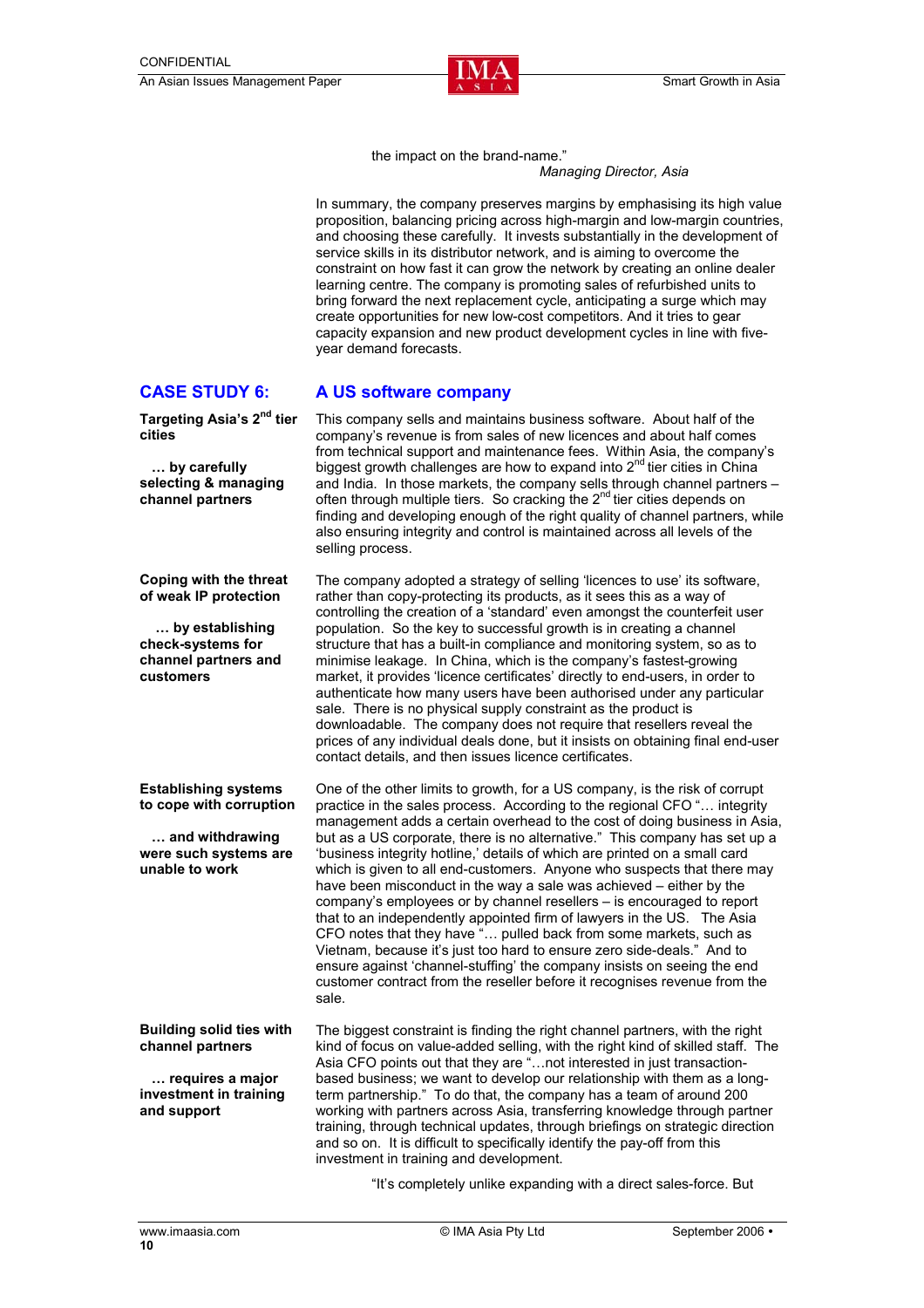

the impact on the brand-name."

#### *Managing Director, Asia*

In summary, the company preserves margins by emphasising its high value proposition, balancing pricing across high-margin and low-margin countries, and choosing these carefully. It invests substantially in the development of service skills in its distributor network, and is aiming to overcome the constraint on how fast it can grow the network by creating an online dealer learning centre. The company is promoting sales of refurbished units to bring forward the next replacement cycle, anticipating a surge which may create opportunities for new low-cost competitors. And it tries to gear capacity expansion and new product development cycles in line with fiveyear demand forecasts.

#### **CASE STUDY 6: A US software company**

**Targeting Asia's 2nd tier cities** 

 **… by carefully selecting & managing channel partners** 

**Coping with the threat of weak IP protection** 

selling process.

 **… by establishing check-systems for channel partners and customers** 

**Establishing systems to cope with corruption** 

 **… and withdrawing were such systems are unable to work** 

#### **Building solid ties with channel partners**

 **… requires a major investment in training and support** 

This company sells and maintains business software. About half of the company's revenue is from sales of new licences and about half comes from technical support and maintenance fees. Within Asia, the company's biggest growth challenges are how to expand into 2<sup>nd</sup> tier cities in China and India. In those markets, the company sells through channel partners – often through multiple tiers. So cracking the 2<sup>nd</sup> tier cities depends on finding and developing enough of the right quality of channel partners, while also ensuring integrity and control is maintained across all levels of the

The company adopted a strategy of selling 'licences to use' its software, rather than copy-protecting its products, as it sees this as a way of controlling the creation of a 'standard' even amongst the counterfeit user population. So the key to successful growth is in creating a channel structure that has a built-in compliance and monitoring system, so as to minimise leakage. In China, which is the company's fastest-growing market, it provides 'licence certificates' directly to end-users, in order to authenticate how many users have been authorised under any particular sale. There is no physical supply constraint as the product is downloadable. The company does not require that resellers reveal the prices of any individual deals done, but it insists on obtaining final end-user contact details, and then issues licence certificates.

One of the other limits to growth, for a US company, is the risk of corrupt practice in the sales process. According to the regional CFO "… integrity management adds a certain overhead to the cost of doing business in Asia, but as a US corporate, there is no alternative." This company has set up a 'business integrity hotline,' details of which are printed on a small card which is given to all end-customers. Anyone who suspects that there may have been misconduct in the way a sale was achieved – either by the company's employees or by channel resellers – is encouraged to report that to an independently appointed firm of lawyers in the US. The Asia CFO notes that they have "… pulled back from some markets, such as Vietnam, because it's just too hard to ensure zero side-deals." And to ensure against 'channel-stuffing' the company insists on seeing the end customer contract from the reseller before it recognises revenue from the sale.

The biggest constraint is finding the right channel partners, with the right kind of focus on value-added selling, with the right kind of skilled staff. The Asia CFO points out that they are "…not interested in just transactionbased business; we want to develop our relationship with them as a longterm partnership." To do that, the company has a team of around 200 working with partners across Asia, transferring knowledge through partner training, through technical updates, through briefings on strategic direction and so on. It is difficult to specifically identify the pay-off from this investment in training and development.

"It's completely unlike expanding with a direct sales-force. But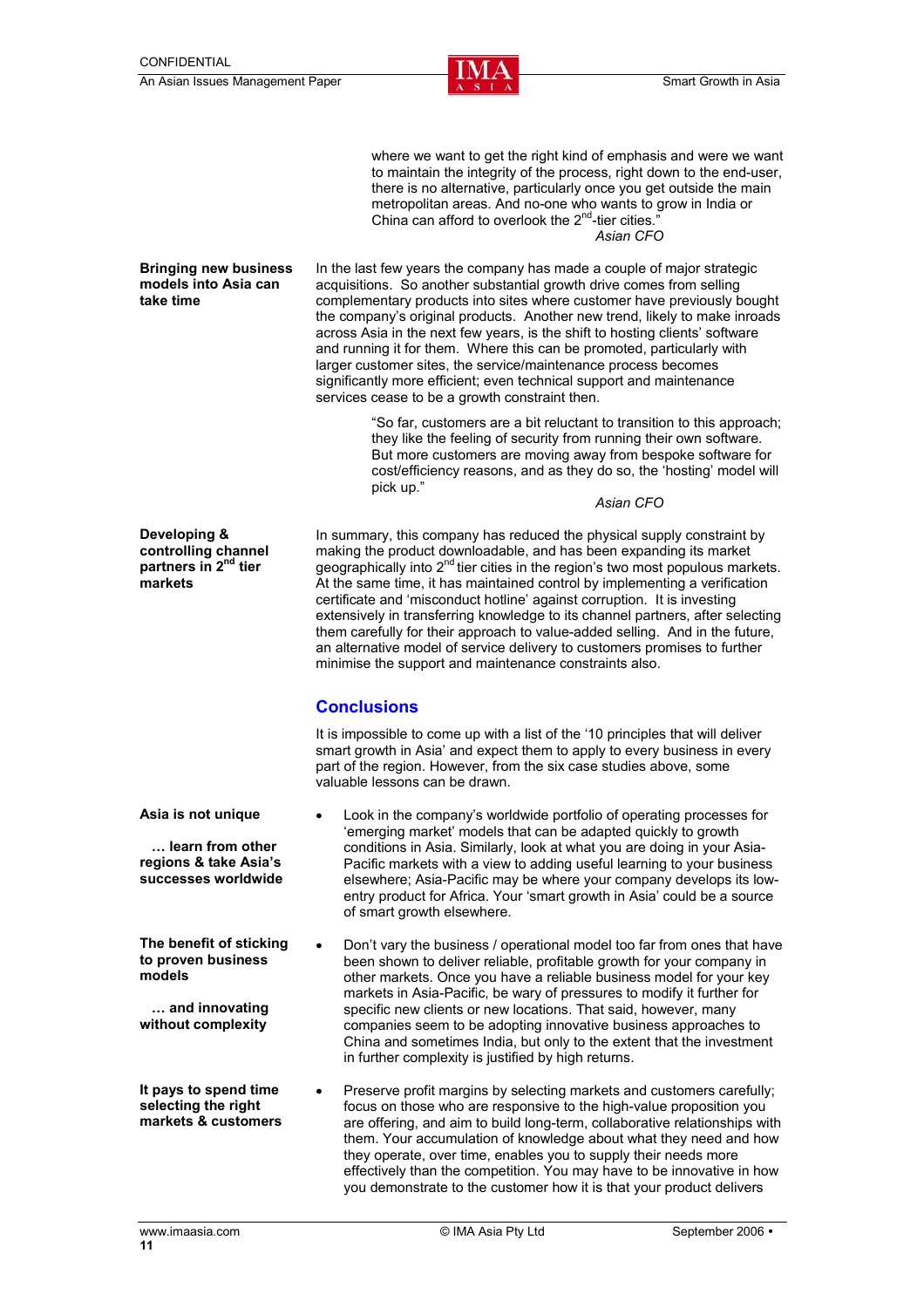

where we want to get the right kind of emphasis and were we want to maintain the integrity of the process, right down to the end-user, there is no alternative, particularly once you get outside the main metropolitan areas. And no-one who wants to grow in India or China can afford to overlook the  $2<sup>nd</sup>$ -tier cities. *Asian CFO* 

#### **Bringing new business models into Asia can take time**

In the last few years the company has made a couple of major strategic acquisitions. So another substantial growth drive comes from selling complementary products into sites where customer have previously bought the company's original products. Another new trend, likely to make inroads across Asia in the next few years, is the shift to hosting clients' software and running it for them. Where this can be promoted, particularly with larger customer sites, the service/maintenance process becomes significantly more efficient; even technical support and maintenance services cease to be a growth constraint then.

> "So far, customers are a bit reluctant to transition to this approach; they like the feeling of security from running their own software. But more customers are moving away from bespoke software for cost/efficiency reasons, and as they do so, the 'hosting' model will pick up."

*Asian CFO* 

**Developing & controlling channel partners in 2nd tier markets** 

In summary, this company has reduced the physical supply constraint by making the product downloadable, and has been expanding its market geographically into  $2^{nd}$  tier cities in the region's two most populous markets. At the same time, it has maintained control by implementing a verification certificate and 'misconduct hotline' against corruption. It is investing extensively in transferring knowledge to its channel partners, after selecting them carefully for their approach to value-added selling. And in the future, an alternative model of service delivery to customers promises to further minimise the support and maintenance constraints also.

### **Conclusions**

It is impossible to come up with a list of the '10 principles that will deliver smart growth in Asia' and expect them to apply to every business in every part of the region. However, from the six case studies above, some valuable lessons can be drawn.

- **Asia is not unique … learn from other regions & take Asia's successes worldwide**  • Look in the company's worldwide portfolio of operating processes for 'emerging market' models that can be adapted quickly to growth conditions in Asia. Similarly, look at what you are doing in your Asia-Pacific markets with a view to adding useful learning to your business elsewhere; Asia-Pacific may be where your company develops its lowentry product for Africa. Your 'smart growth in Asia' could be a source of smart growth elsewhere. **The benefit of sticking to proven business** 
	- Don't vary the business / operational model too far from ones that have been shown to deliver reliable, profitable growth for your company in other markets. Once you have a reliable business model for your key markets in Asia-Pacific, be wary of pressures to modify it further for specific new clients or new locations. That said, however, many companies seem to be adopting innovative business approaches to China and sometimes India, but only to the extent that the investment in further complexity is justified by high returns.
- **It pays to spend time selecting the right markets & customers**  • Preserve profit margins by selecting markets and customers carefully; focus on those who are responsive to the high-value proposition you are offering, and aim to build long-term, collaborative relationships with them. Your accumulation of knowledge about what they need and how they operate, over time, enables you to supply their needs more effectively than the competition. You may have to be innovative in how you demonstrate to the customer how it is that your product delivers

**models** 

 **… and innovating without complexity**